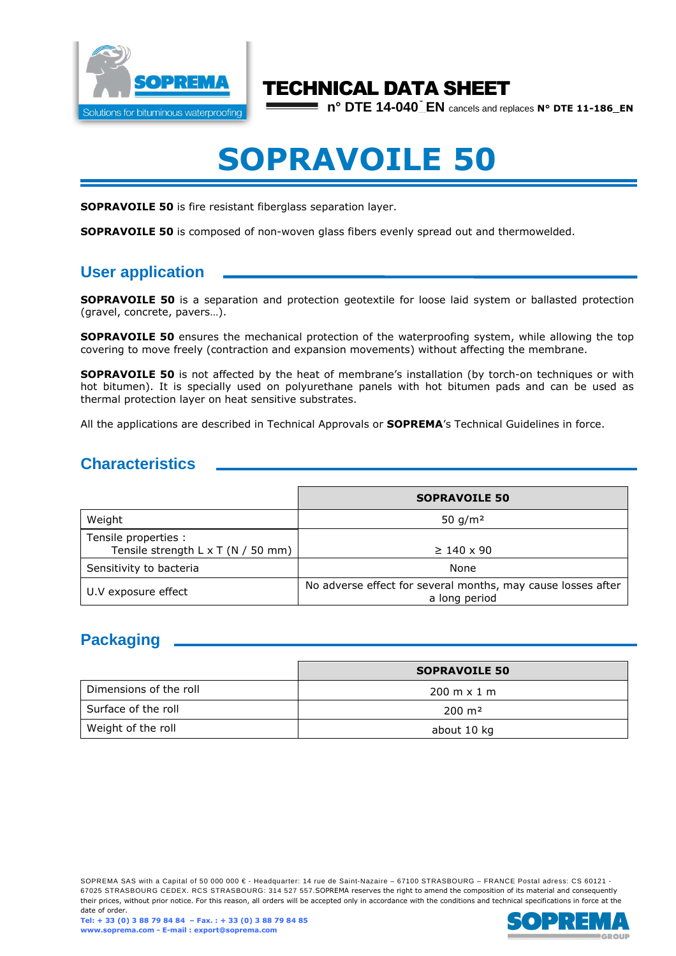

# TECHNICAL DATA SHEET

**n° DTE 14-040\_EN** cancels and replaces **N° DTE 11-186\_EN**

# **SOPRAVOILE 50**

**SOPRAVOILE 50** is fire resistant fiberglass separation layer.

**SOPRAVOILE 50** is composed of non-woven glass fibers evenly spread out and thermowelded.

## **User application**

**SOPRAVOILE 50** is a separation and protection geotextile for loose laid system or ballasted protection (gravel, concrete, pavers…).

**SOPRAVOILE 50** ensures the mechanical protection of the waterproofing system, while allowing the top covering to move freely (contraction and expansion movements) without affecting the membrane.

**SOPRAVOILE 50** is not affected by the heat of membrane's installation (by torch-on techniques or with hot bitumen). It is specially used on polyurethane panels with hot bitumen pads and can be used as thermal protection layer on heat sensitive substrates.

All the applications are described in Technical Approvals or **SOPREMA**'s Technical Guidelines in force.

### **Characteristics**

|                                                                   | <b>SOPRAVOILE 50</b>                                                          |
|-------------------------------------------------------------------|-------------------------------------------------------------------------------|
| Weight                                                            | 50 $g/m2$                                                                     |
| Tensile properties :<br>Tensile strength $L \times T$ (N / 50 mm) | $\geq 140 \times 90$                                                          |
| Sensitivity to bacteria                                           | None                                                                          |
| U.V exposure effect                                               | No adverse effect for several months, may cause losses after<br>a long period |

# **Packaging**

|                        | <b>SOPRAVOILE 50</b>               |
|------------------------|------------------------------------|
| Dimensions of the roll | $200 \text{ m} \times 1 \text{ m}$ |
| Surface of the roll    | $200 \; \text{m}^2$                |
| Weight of the roll     | about 10 kg                        |

SOPREMA SAS with a Capital of 50 000 000 € - Headquarter: 14 rue de Saint-Nazaire – 67100 STRASBOURG – FRANCE Postal adress: CS 60121 -67025 STRASBOURG CEDEX. RCS STRASBOURG: 314 527 557.SOPREMA reserves the right to amend the composition of its material and consequently their prices, without prior notice. For this reason, all orders will be accepted only in accordance with the conditions and technical specifications in force at the date of order.